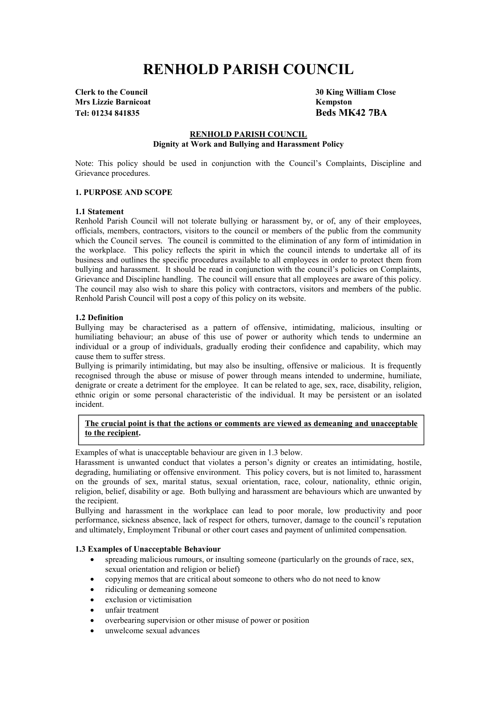# **RENHOLD PARISH COUNCIL**

**Mrs Lizzie Barnicoat Kempston Tel: 01234 841835 Beds MK42 7BA**

**Clerk to the Council 30 King William Close**

# **RENHOLD PARISH COUNCIL Dignity at Work and Bullying and Harassment Policy**

Note: This policy should be used in conjunction with the Council's Complaints, Discipline and Grievance procedures.

## **1. PURPOSE AND SCOPE**

## **1.1 Statement**

Renhold Parish Council will not tolerate bullying or harassment by, or of, any of their employees, officials, members, contractors, visitors to the council or members of the public from the community which the Council serves. The council is committed to the elimination of any form of intimidation in the workplace. This policy reflects the spirit in which the council intends to undertake all of its business and outlines the specific procedures available to all employees in order to protect them from bullying and harassment. It should be read in conjunction with the council's policies on Complaints, Grievance and Discipline handling. The council will ensure that all employees are aware of this policy. The council may also wish to share this policy with contractors, visitors and members of the public. Renhold Parish Council will post a copy of this policy on its website.

## **1.2 Definition**

Bullying may be characterised as a pattern of offensive, intimidating, malicious, insulting or humiliating behaviour; an abuse of this use of power or authority which tends to undermine an individual or a group of individuals, gradually eroding their confidence and capability, which may cause them to suffer stress.

Bullying is primarily intimidating, but may also be insulting, offensive or malicious. It is frequently recognised through the abuse or misuse of power through means intended to undermine, humiliate, denigrate or create a detriment for the employee. It can be related to age, sex, race, disability, religion, ethnic origin or some personal characteristic of the individual. It may be persistent or an isolated incident.

# **The crucial point is that the actions or comments are viewed as demeaning and unacceptable to the recipient.**

Examples of what is unacceptable behaviour are given in 1.3 below.

Harassment is unwanted conduct that violates a person's dignity or creates an intimidating, hostile, degrading, humiliating or offensive environment. This policy covers, but is not limited to, harassment on the grounds of sex, marital status, sexual orientation, race, colour, nationality, ethnic origin, religion, belief, disability or age. Both bullying and harassment are behaviours which are unwanted by the recipient.

Bullying and harassment in the workplace can lead to poor morale, low productivity and poor performance, sickness absence, lack of respect for others, turnover, damage to the council's reputation and ultimately, Employment Tribunal or other court cases and payment of unlimited compensation.

# **1.3 Examples of Unacceptable Behaviour**

- spreading malicious rumours, or insulting someone (particularly on the grounds of race, sex, sexual orientation and religion or belief)
- copying memos that are critical about someone to others who do not need to know
- ridiculing or demeaning someone
- exclusion or victimisation
- unfair treatment
- overbearing supervision or other misuse of power or position
- unwelcome sexual advances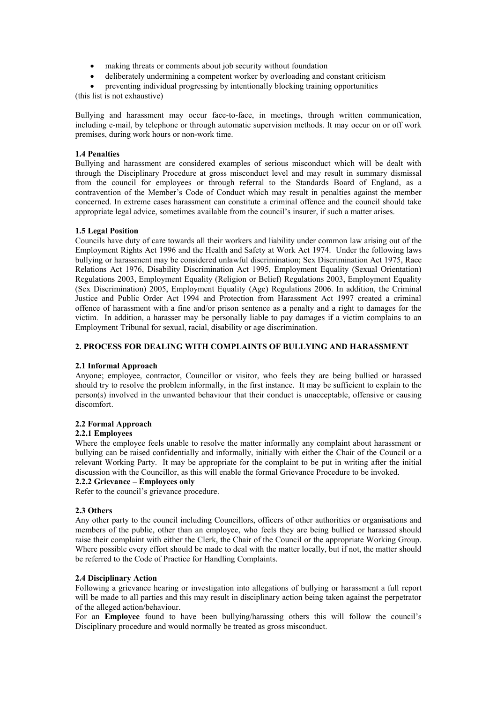- making threats or comments about job security without foundation
- deliberately undermining a competent worker by overloading and constant criticism
- preventing individual progressing by intentionally blocking training opportunities

(this list is not exhaustive)

Bullying and harassment may occur face-to-face, in meetings, through written communication, including e-mail, by telephone or through automatic supervision methods. It may occur on or off work premises, during work hours or non-work time.

# **1.4 Penalties**

Bullying and harassment are considered examples of serious misconduct which will be dealt with through the Disciplinary Procedure at gross misconduct level and may result in summary dismissal from the council for employees or through referral to the Standards Board of England, as a contravention of the Member's Code of Conduct which may result in penalties against the member concerned. In extreme cases harassment can constitute a criminal offence and the council should take appropriate legal advice, sometimes available from the council's insurer, if such a matter arises.

#### **1.5 Legal Position**

Councils have duty of care towards all their workers and liability under common law arising out of the Employment Rights Act 1996 and the Health and Safety at Work Act 1974. Under the following laws bullying or harassment may be considered unlawful discrimination; Sex Discrimination Act 1975, Race Relations Act 1976, Disability Discrimination Act 1995, Employment Equality (Sexual Orientation) Regulations 2003, Employment Equality (Religion or Belief) Regulations 2003, Employment Equality (Sex Discrimination) 2005, Employment Equality (Age) Regulations 2006. In addition, the Criminal Justice and Public Order Act 1994 and Protection from Harassment Act 1997 created a criminal offence of harassment with a fine and/or prison sentence as a penalty and a right to damages for the victim. In addition, a harasser may be personally liable to pay damages if a victim complains to an Employment Tribunal for sexual, racial, disability or age discrimination.

## **2. PROCESS FOR DEALING WITH COMPLAINTS OF BULLYING AND HARASSMENT**

#### **2.1 Informal Approach**

Anyone; employee, contractor, Councillor or visitor, who feels they are being bullied or harassed should try to resolve the problem informally, in the first instance. It may be sufficient to explain to the person(s) involved in the unwanted behaviour that their conduct is unacceptable, offensive or causing discomfort.

# **2.2 Formal Approach**

#### **2.2.1 Employees**

Where the employee feels unable to resolve the matter informally any complaint about harassment or bullying can be raised confidentially and informally, initially with either the Chair of the Council or a relevant Working Party. It may be appropriate for the complaint to be put in writing after the initial discussion with the Councillor, as this will enable the formal Grievance Procedure to be invoked.

# **2.2.2 Grievance – Employees only**

Refer to the council's grievance procedure.

#### **2.3 Others**

Any other party to the council including Councillors, officers of other authorities or organisations and members of the public, other than an employee, who feels they are being bullied or harassed should raise their complaint with either the Clerk, the Chair of the Council or the appropriate Working Group. Where possible every effort should be made to deal with the matter locally, but if not, the matter should be referred to the Code of Practice for Handling Complaints.

#### **2.4 Disciplinary Action**

Following a grievance hearing or investigation into allegations of bullying or harassment a full report will be made to all parties and this may result in disciplinary action being taken against the perpetrator of the alleged action/behaviour.

For an **Employee** found to have been bullying/harassing others this will follow the council's Disciplinary procedure and would normally be treated as gross misconduct.